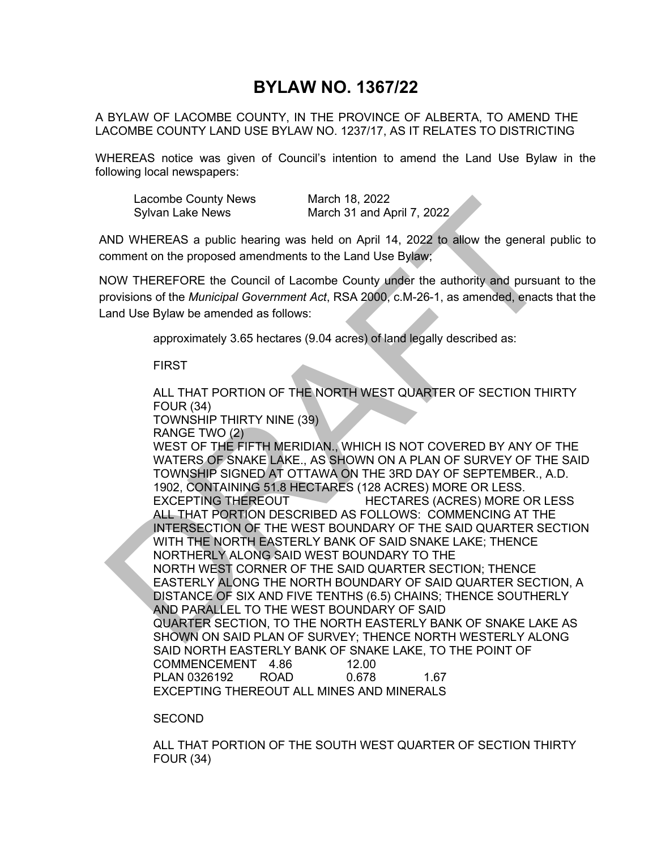## **BYLAW NO. 1367/22**

A BYLAW OF LACOMBE COUNTY, IN THE PROVINCE OF ALBERTA, TO AMEND THE LACOMBE COUNTY LAND USE BYLAW NO. 1237/17, AS IT RELATES TO DISTRICTING

WHEREAS notice was given of Council's intention to amend the Land Use Bylaw in the following local newspapers:

| Lacombe County News | March 18, 2022             |
|---------------------|----------------------------|
| Sylvan Lake News    | March 31 and April 7, 2022 |

AND WHEREAS a public hearing was held on April 14, 2022 to allow the general public to comment on the proposed amendments to the Land Use Bylaw;

NOW THEREFORE the Council of Lacombe County under the authority and pursuant to the provisions of the *Municipal Government Act*, RSA 2000, c.M-26-1, as amended, enacts that the Land Use Bylaw be amended as follows:

approximately 3.65 hectares (9.04 acres) of land legally described as:

## FIRST

Lacombe County News<br>
Sylvan Lake News<br>
March 18, 2022<br>
ADD WHEREAS a public hearing was held on April 14, 2022 to allow the general public<br>
sylvan Lake News<br>
March 31 and April 14, 2022 to allow the general public<br>
norment ALL THAT PORTION OF THE NORTH WEST QUARTER OF SECTION THIRTY FOUR (34) TOWNSHIP THIRTY NINE (39) RANGE TWO (2) WEST OF THE FIFTH MERIDIAN., WHICH IS NOT COVERED BY ANY OF THE WATERS OF SNAKE LAKE., AS SHOWN ON A PLAN OF SURVEY OF THE SAID TOWNSHIP SIGNED AT OTTAWA ON THE 3RD DAY OF SEPTEMBER., A.D. 1902, CONTAINING 51.8 HECTARES (128 ACRES) MORE OR LESS. EXCEPTING THEREOUT HECTARES (ACRES) MORE OR LESS ALL THAT PORTION DESCRIBED AS FOLLOWS: COMMENCING AT THE INTERSECTION OF THE WEST BOUNDARY OF THE SAID QUARTER SECTION WITH THE NORTH EASTERLY BANK OF SAID SNAKE LAKE; THENCE NORTHERLY ALONG SAID WEST BOUNDARY TO THE NORTH WEST CORNER OF THE SAID QUARTER SECTION; THENCE EASTERLY ALONG THE NORTH BOUNDARY OF SAID QUARTER SECTION, A DISTANCE OF SIX AND FIVE TENTHS (6.5) CHAINS; THENCE SOUTHERLY AND PARALLEL TO THE WEST BOUNDARY OF SAID QUARTER SECTION, TO THE NORTH EASTERLY BANK OF SNAKE LAKE AS SHOWN ON SAID PLAN OF SURVEY; THENCE NORTH WESTERLY ALONG SAID NORTH EASTERLY BANK OF SNAKE LAKE, TO THE POINT OF COMMENCEMENT 4.86 12.00 PLAN 0326192 ROAD 0.678 1.67 EXCEPTING THEREOUT ALL MINES AND MINERALS

SECOND

ALL THAT PORTION OF THE SOUTH WEST QUARTER OF SECTION THIRTY FOUR (34)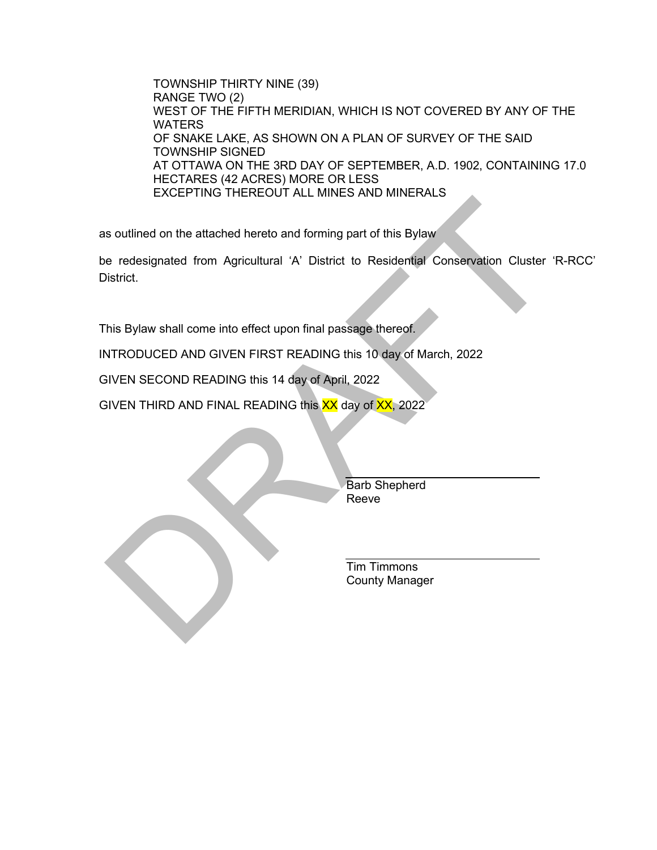TOWNSHIP THIRTY NINE (39) RANGE TWO (2) WEST OF THE FIFTH MERIDIAN, WHICH IS NOT COVERED BY ANY OF THE WATERS OF SNAKE LAKE, AS SHOWN ON A PLAN OF SURVEY OF THE SAID TOWNSHIP SIGNED AT OTTAWA ON THE 3RD DAY OF SEPTEMBER, A.D. 1902, CONTAINING 17.0 HECTARES (42 ACRES) MORE OR LESS EXCEPTING THEREOUT ALL MINES AND MINERALS

as outlined on the attached hereto and forming part of this Bylaw

Solution of the attached hereto and forming part of this Bylaw<br>
But the redesignated from Agricultural 'A' District to Residential Conservation Cluster 'R-RC<br>
Sistrict.<br>
This Bylaw shall come into effect upon final passage be redesignated from Agricultural 'A' District to Residential Conservation Cluster 'R-RCC' District.

This Bylaw shall come into effect upon final passage thereof.

INTRODUCED AND GIVEN FIRST READING this 10 day of March, 2022

GIVEN SECOND READING this 14 day of April, 2022

GIVEN THIRD AND FINAL READING this XX day of XX, 2022

 Barb Shepherd Reeve

 Tim Timmons County Manager